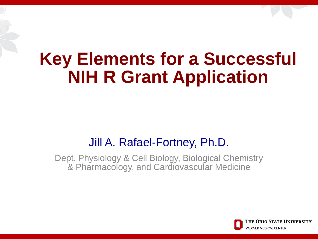## **Key Elements for a Successful NIH R Grant Application**

#### Jill A. Rafael-Fortney, Ph.D.

Dept. Physiology & Cell Biology, Biological Chemistry & Pharmacology, and Cardiovascular Medicine

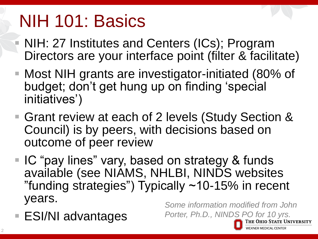## NIH 101: Basics

- NIH: 27 Institutes and Centers (ICs); Program Directors are your interface point (filter & facilitate)
- Most NIH grants are investigator-initiated (80% of budget; don't get hung up on finding 'special initiatives')
- Grant review at each of 2 levels (Study Section & Council) is by peers, with decisions based on outcome of peer review
- IC "pay lines" vary, based on strategy & funds available (see NIAMS, NHLBI, NINDS websites "funding strategies") Typically ~10-15% in recent years.
- ESI/NI advantages

*Some information modified from John Porter, Ph.D., NINDS PO for 10 yrs.*



The Ohio State University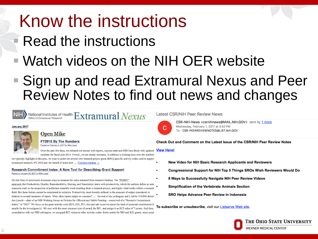## Know the instructions

### Read the instructions

### Watch videos on the NIH OER website

#### ■ Sign up and read Extramural Nexus and Peer Review Notes to find out news and changes



#### National Institutes of Health  $\operatorname{Ext}$  **Tramural**  $Next$

#### January 2017



#### **Open Mike**

**FY2016 By The Numbers** Posted on February 3, 2017 by Mike Lauer

Over the past few days, we released our annual web reports, success rates and NIH Data Book with updated View Here! numbers for fiscal year 2016. Overall, we see steady increases. In addition to looking back over the numbers

we typically highlight in this post, we want to point out several new research project grant (RPG)-specific activity codes used to support extramural research. FY 2016 saw the launch of some new .... Continue reading  $\rightarrow$ 

#### Research Commitment Index: A New Tool for Describing Grant Support Posted on January 26, 2017 by Mike Lauer

On this blog we previously discussed ways to measure the value returned from research funding. The "PQRST" approach (for Productivity, Quality, Reproducibility, Sharing, and Translation) starts with productivity, which the authors define as using measures such as the proportion of published scientific work resulting from a research project, and highly cited works within a research field. But these factors cannot be considered in isolation. Productivity, most broadly defined, is the measure of output considered in relation to several measures of inputs. What other inputs might we consider? .... Several of my colleagues and I, led by NIGMS directo Jon Lorsch - chair of an NIH Working Group on Policies for Efficient and Stable Funding - conceived of a "Research Commitment Index," or "RCI." We focus on the grant activity code (R01, R21, P01, etc) and ask ourselves about the kind of personal commitment it entails for the investigator(s). We start with the most common type of award, the R01, and assign it an RCI value of 7 points. And then, consultation with our NIH colleagues, we assigned RCI values to other activity codes: fewer points for R03 and R21 grants, more points

**Latest CSR/NIH Peer Review News** 



CSR-NIH-News <csrnihnews@MAIL.NIH.GOV> sent by 1 more Wednesday, February 1, 2017 at 3:52 PM To: CSR-PEERREVIEWNOTES@LIST.NIH.GOV

#### Check Out and Comment on the Latest Issue of the CSR/NIH Peer Review Notes

- New Video for NIH Basic Research Applicants and Reviewers
- Congressional Support for NIH Top 5 Things SROs Wish Reviewers Would Do
- 8 Ways to Successfully Navigate NIH Peer Review Videos

**Simplification of the Vertebrate Animals Section** 

SRO Helps Advance Peer Review in Indonesia

To subscribe or unsubscribe, visit our Listserve Web site.

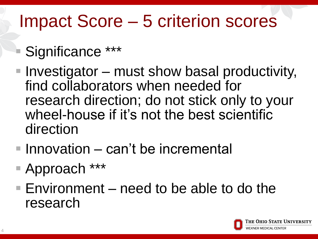## Impact Score – 5 criterion scores

## Significance \*\*\*

- $\blacksquare$  Investigator must show basal productivity, find collaborators when needed for research direction; do not stick only to your wheel-house if it's not the best scientific direction
- $\blacksquare$  Innovation can't be incremental
- Approach \*\*\*
- $\blacksquare$  Environment need to be able to do the research

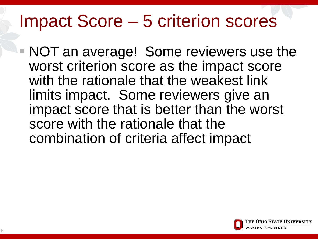## Impact Score – 5 criterion scores

 NOT an average! Some reviewers use the worst criterion score as the impact score with the rationale that the weakest link limits impact. Some reviewers give an impact score that is better than the worst score with the rationale that the combination of criteria affect impact

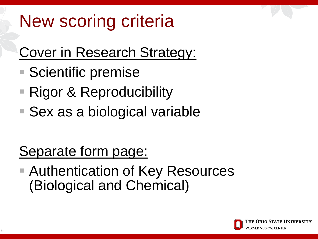## New scoring criteria

### Cover in Research Strategy:

- Scientific premise
- Rigor & Reproducibility
- Sex as a biological variable

### Separate form page:

■ Authentication of Key Resources (Biological and Chemical)

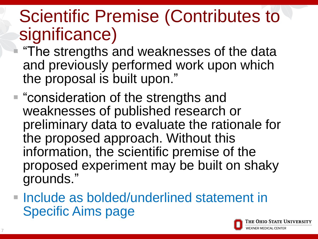## Scientific Premise (Contributes to significance)

 "The strengths and weaknesses of the data and previously performed work upon which the proposal is built upon."

- "consideration of the strengths and weaknesses of published research or preliminary data to evaluate the rationale for the proposed approach. Without this information, the scientific premise of the proposed experiment may be built on shaky grounds."
- **Include as bolded/underlined statement in** Specific Aims page

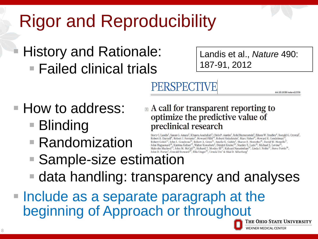## Rigor and Reproducibility

### History and Rationale: ■ Failed clinical trials

Landis et al., *Nature* 490: 187-91, 2012

## PERSPECTIVE

**How to address:** 

- Blinding
- Randomization

**Example 1** and 1 and 1 and 1 and 1 and 1 and 1 and 1 and 1 and 1 and 1 and 1 and 1 and 1 and 1 and 1 and 1 and 1 and 1 and 1 and 1 and 1 and 1 and 1 and 1 and 1 and 1 and 1 and 1 and 1 and 1 and 1 and 1 and 1 and 1 and 1 optimize the predictive value of preclinical research

Story C. Landis<sup>1</sup>, Susan G. Amara<sup>2</sup>, Khusru Asadullah<sup>3</sup>, Chris P. Austin<sup>4</sup>, Robi Blumenstein<sup>5</sup>, Eileen W. Bradley<sup>6</sup>, Ronald G. Crystal<sup>7</sup>, Robert B. Darnell<sup>8</sup>, Robert J. Ferrante<sup>9</sup>, Howard Fillit<sup>10</sup>, Robert Finkelstein<sup>1</sup>, Marc Fisher<sup>11</sup>, Howard E. Gendelman<sup>12</sup>,  $\blacksquare \textbf{ Random} \textbf{I} \textbf{Z} \textbf{t} \textbf{1} \textbf{on} \textbf{I} \textbf{R} \textbf{t} \textbf{b} \textbf{b} \textbf{b} \textbf{b} \textbf{b} \textbf{b} \textbf{b} \textbf{b} \textbf{b} \textbf{b} \textbf{b} \textbf{b} \textbf{b} \textbf{c} \textbf{b} \textbf{b} \textbf{b} \textbf{c} \textbf{b} \textbf{b} \textbf{b} \textbf{c} \textbf{b} \textbf{b} \textbf{b} \textbf{c} \textbf{b}$ 

- 
- data handling: transparency and analyses
- **Include as a separate paragraph at the** beginning of Approach or throughoutThe Ohio State University



doi:10.1038/nature11556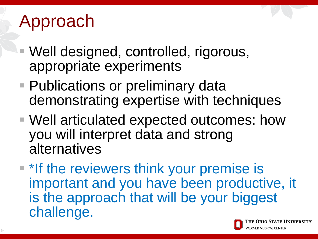## Approach

- Well designed, controlled, rigorous, appropriate experiments
- Publications or preliminary data demonstrating expertise with techniques
- Well articulated expected outcomes: how you will interpret data and strong alternatives
- **\*** If the reviewers think your premise is important and you have been productive, it is the approach that will be your biggest challenge.

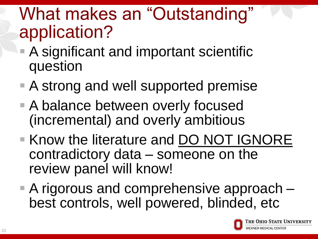## What makes an "Outstanding" application?

- A significant and important scientific question
- A strong and well supported premise
- A balance between overly focused (incremental) and overly ambitious
- **Know the literature and DO NOT IGNORE** contradictory data – someone on the review panel will know!
- A rigorous and comprehensive approach best controls, well powered, blinded, etc

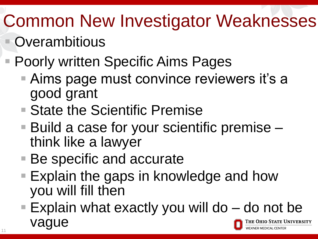# Common New Investigator Weaknesses

- **Overambitious**
- Poorly written Specific Aims Pages
	- Aims page must convince reviewers it's a good grant
	- State the Scientific Premise
	- Build a case for your scientific premise think like a lawyer
	- Be specific and accurate
	- Explain the gaps in knowledge and how you will fill then
	- Explain what exactly you will do  $-$  do not be vague The Ohio State University **(NER MEDICAL CENTER**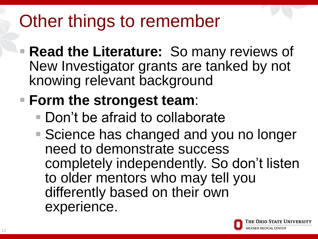## Other things to remember

- **Read the Literature:** So many reviews of New Investigator grants are tanked by not knowing relevant background
- **Form the strongest team**:
	- Don't be afraid to collaborate
	- Science has changed and you no longer need to demonstrate success completely independently. So don't listen to older mentors who may tell you differently based on their own experience.

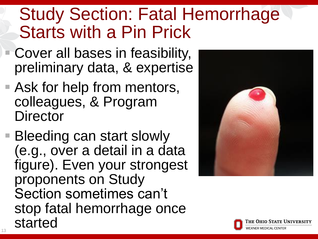## Study Section: Fatal Hemorrhage Starts with a Pin Prick

- Cover all bases in feasibility, preliminary data, & expertise
- Ask for help from mentors, colleagues, & Program **Director**
- Bleeding can start slowly (e.g., over a detail in a data figure). Even your strongest proponents on Study Section sometimes can't stop fatal hemorrhage once started



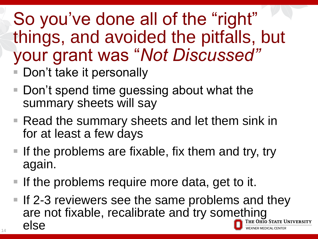## So you've done all of the "right" things, and avoided the pitfalls, but your grant was "*Not Discussed"*

- Don't take it personally
- Don't spend time guessing about what the summary sheets will say
- Read the summary sheets and let them sink in for at least a few days
- If the problems are fixable, fix them and try, try again.
- If the problems require more data, get to it.
- If 2-3 reviewers see the same problems and they are not fixable, recalibrate and try something else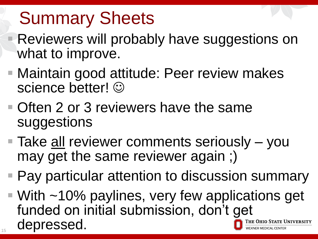# Summary Sheets

- Reviewers will probably have suggestions on what to improve.
- Maintain good attitude: Peer review makes science better!  $\odot$
- **Often 2 or 3 reviewers have the same** suggestions
- Take all reviewer comments seriously you may get the same reviewer again ;)
- Pay particular attention to discussion summary
- $\blacksquare$  With ~10% paylines, very few applications get funded on initial submission, don't get depressed. he Ohio State University